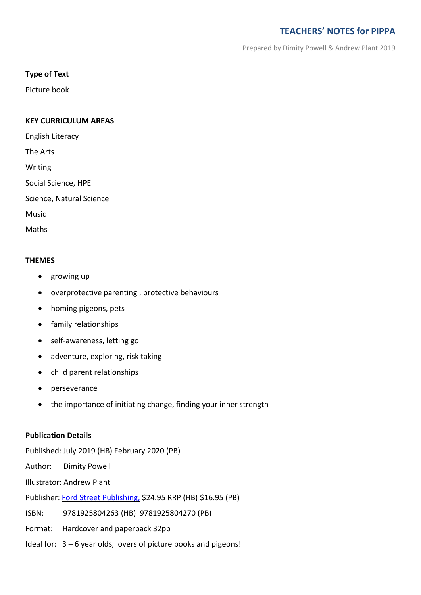# **TEACHERS' NOTES for PIPPA**

Prepared by Dimity Powell & Andrew Plant 2019

## **Type of Text**

Picture book

#### **KEY CURRICULUM AREAS**

English Literacy

The Arts

Writing

Social Science, HPE

Science, Natural Science

Music

Maths

#### **THEMES**

- growing up
- overprotective parenting , protective behaviours
- homing pigeons, pets
- family relationships
- self-awareness, letting go
- adventure, exploring, risk taking
- child parent relationships
- perseverance
- the importance of initiating change, finding your inner strength

#### **Publication Details**

Published: July 2019 (HB) February 2020 (PB)

Author: Dimity Powell

Illustrator: Andrew Plant

Publisher: [Ford Street Publishing,](http://www.fordstreetpublishing.com/ford/index.php) \$24.95 RRP (HB) \$16.95 (PB)

ISBN: 9781925804263 (HB) 9781925804270 (PB)

Format: Hardcover and paperback 32pp

Ideal for: 3 – 6 year olds, lovers of picture books and pigeons!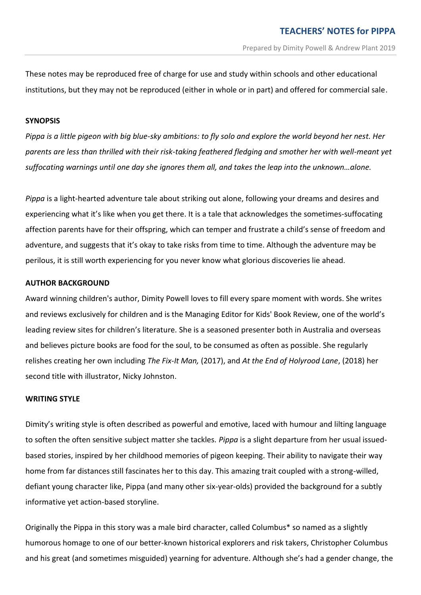These notes may be reproduced free of charge for use and study within schools and other educational institutions, but they may not be reproduced (either in whole or in part) and offered for commercial sale.

#### **SYNOPSIS**

*Pippa is a little pigeon with big blue-sky ambitions: to fly solo and explore the world beyond her nest. Her parents are less than thrilled with their risk-taking feathered fledging and smother her with well-meant yet suffocating warnings until one day she ignores them all, and takes the leap into the unknown…alone.*

*Pippa* is a light-hearted adventure tale about striking out alone, following your dreams and desires and experiencing what it's like when you get there. It is a tale that acknowledges the sometimes-suffocating affection parents have for their offspring, which can temper and frustrate a child's sense of freedom and adventure, and suggests that it's okay to take risks from time to time. Although the adventure may be perilous, it is still worth experiencing for you never know what glorious discoveries lie ahead.

#### **AUTHOR BACKGROUND**

Award winning children's author, Dimity Powell loves to fill every spare moment with words. She writes and reviews exclusively for children and is the Managing Editor for Kids' Book Review, one of the world's leading review sites for children's literature. She is a seasoned presenter both in Australia and overseas and believes picture books are food for the soul, to be consumed as often as possible. She regularly relishes creating her own including *The Fix-It Man,* (2017), and *At the End of Holyrood Lane*, (2018) her second title with illustrator, Nicky Johnston.

#### **WRITING STYLE**

Dimity's writing style is often described as powerful and emotive, laced with humour and lilting language to soften the often sensitive subject matter she tackles. *Pippa* is a slight departure from her usual issuedbased stories, inspired by her childhood memories of pigeon keeping. Their ability to navigate their way home from far distances still fascinates her to this day. This amazing trait coupled with a strong-willed, defiant young character like, Pippa (and many other six-year-olds) provided the background for a subtly informative yet action-based storyline.

Originally the Pippa in this story was a male bird character, called Columbus\* so named as a slightly humorous homage to one of our better-known historical explorers and risk takers, Christopher Columbus and his great (and sometimes misguided) yearning for adventure. Although she's had a gender change, the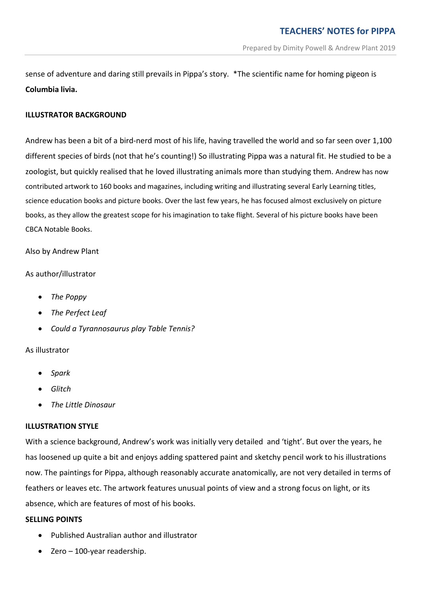sense of adventure and daring still prevails in Pippa's story. \*The scientific name for homing pigeon is **Columbia livia.**

# **ILLUSTRATOR BACKGROUND**

Andrew has been a bit of a bird-nerd most of his life, having travelled the world and so far seen over 1,100 different species of birds (not that he's counting!) So illustrating Pippa was a natural fit. He studied to be a zoologist, but quickly realised that he loved illustrating animals more than studying them. Andrew has now contributed artwork to 160 books and magazines, including writing and illustrating several Early Learning titles, science education books and picture books. Over the last few years, he has focused almost exclusively on picture books, as they allow the greatest scope for his imagination to take flight. Several of his picture books have been CBCA Notable Books.

Also by Andrew Plant

## As author/illustrator

- *The Poppy*
- *The Perfect Leaf*
- *Could a Tyrannosaurus play Table Tennis?*

## As illustrator

- *Spark*
- *Glitch*
- *The Little Dinosaur*

## **ILLUSTRATION STYLE**

With a science background, Andrew's work was initially very detailed and 'tight'. But over the years, he has loosened up quite a bit and enjoys adding spattered paint and sketchy pencil work to his illustrations now. The paintings for Pippa, although reasonably accurate anatomically, are not very detailed in terms of feathers or leaves etc. The artwork features unusual points of view and a strong focus on light, or its absence, which are features of most of his books.

## **SELLING POINTS**

- Published Australian author and illustrator
- Zero 100-year readership.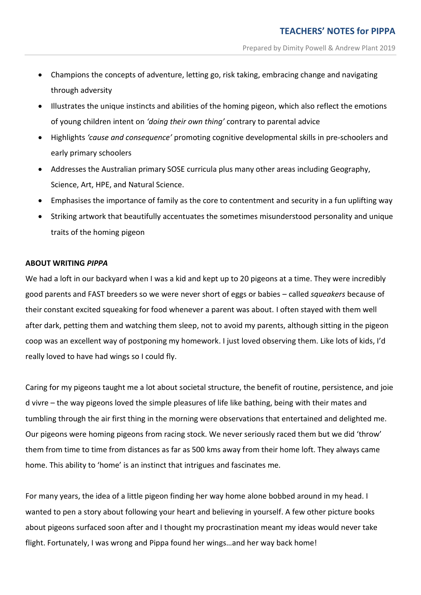- Champions the concepts of adventure, letting go, risk taking, embracing change and navigating through adversity
- Illustrates the unique instincts and abilities of the homing pigeon, which also reflect the emotions of young children intent on *'doing their own thing'* contrary to parental advice
- Highlights *'cause and consequence'* promoting cognitive developmental skills in pre-schoolers and early primary schoolers
- Addresses the Australian primary SOSE curricula plus many other areas including Geography, Science, Art, HPE, and Natural Science.
- Emphasises the importance of family as the core to contentment and security in a fun uplifting way
- Striking artwork that beautifully accentuates the sometimes misunderstood personality and unique traits of the homing pigeon

#### **ABOUT WRITING** *PIPPA*

We had a loft in our backyard when I was a kid and kept up to 20 pigeons at a time. They were incredibly good parents and FAST breeders so we were never short of eggs or babies – called *squeakers* because of their constant excited squeaking for food whenever a parent was about. I often stayed with them well after dark, petting them and watching them sleep, not to avoid my parents, although sitting in the pigeon coop was an excellent way of postponing my homework. I just loved observing them. Like lots of kids, I'd really loved to have had wings so I could fly.

Caring for my pigeons taught me a lot about societal structure, the benefit of routine, persistence, and joie d vivre – the way pigeons loved the simple pleasures of life like bathing, being with their mates and tumbling through the air first thing in the morning were observations that entertained and delighted me. Our pigeons were homing pigeons from racing stock. We never seriously raced them but we did 'throw' them from time to time from distances as far as 500 kms away from their home loft. They always came home. This ability to 'home' is an instinct that intrigues and fascinates me.

For many years, the idea of a little pigeon finding her way home alone bobbed around in my head. I wanted to pen a story about following your heart and believing in yourself. A few other picture books about pigeons surfaced soon after and I thought my procrastination meant my ideas would never take flight. Fortunately, I was wrong and Pippa found her wings…and her way back home!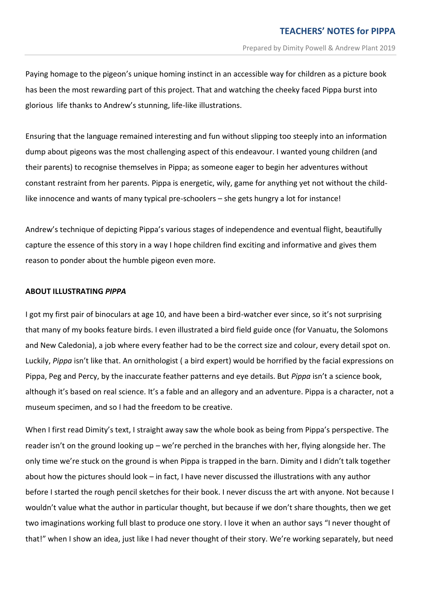Paying homage to the pigeon's unique homing instinct in an accessible way for children as a picture book has been the most rewarding part of this project. That and watching the cheeky faced Pippa burst into glorious life thanks to Andrew's stunning, life-like illustrations.

Ensuring that the language remained interesting and fun without slipping too steeply into an information dump about pigeons was the most challenging aspect of this endeavour. I wanted young children (and their parents) to recognise themselves in Pippa; as someone eager to begin her adventures without constant restraint from her parents. Pippa is energetic, wily, game for anything yet not without the childlike innocence and wants of many typical pre-schoolers – she gets hungry a lot for instance!

Andrew's technique of depicting Pippa's various stages of independence and eventual flight, beautifully capture the essence of this story in a way I hope children find exciting and informative and gives them reason to ponder about the humble pigeon even more.

#### **ABOUT ILLUSTRATING** *PIPPA*

I got my first pair of binoculars at age 10, and have been a bird-watcher ever since, so it's not surprising that many of my books feature birds. I even illustrated a bird field guide once (for Vanuatu, the Solomons and New Caledonia), a job where every feather had to be the correct size and colour, every detail spot on. Luckily, *Pippa* isn't like that. An ornithologist ( a bird expert) would be horrified by the facial expressions on Pippa, Peg and Percy, by the inaccurate feather patterns and eye details. But *Pippa* isn't a science book, although it's based on real science. It's a fable and an allegory and an adventure. Pippa is a character, not a museum specimen, and so I had the freedom to be creative.

When I first read Dimity's text, I straight away saw the whole book as being from Pippa's perspective. The reader isn't on the ground looking up – we're perched in the branches with her, flying alongside her. The only time we're stuck on the ground is when Pippa is trapped in the barn. Dimity and I didn't talk together about how the pictures should look – in fact, I have never discussed the illustrations with any author before I started the rough pencil sketches for their book. I never discuss the art with anyone. Not because I wouldn't value what the author in particular thought, but because if we don't share thoughts, then we get two imaginations working full blast to produce one story. I love it when an author says "I never thought of that!" when I show an idea, just like I had never thought of their story. We're working separately, but need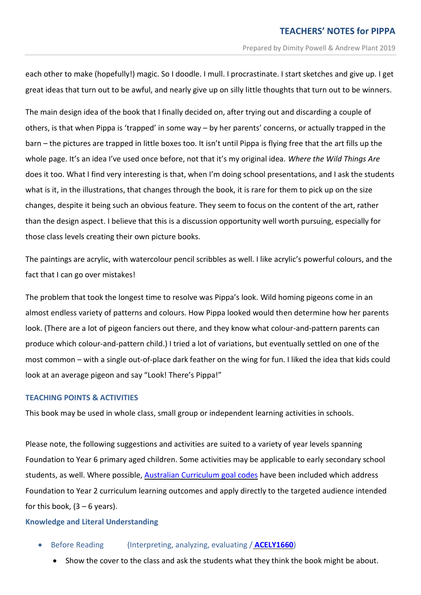each other to make (hopefully!) magic. So I doodle. I mull. I procrastinate. I start sketches and give up. I get great ideas that turn out to be awful, and nearly give up on silly little thoughts that turn out to be winners.

The main design idea of the book that I finally decided on, after trying out and discarding a couple of others, is that when Pippa is 'trapped' in some way – by her parents' concerns, or actually trapped in the barn – the pictures are trapped in little boxes too. It isn't until Pippa is flying free that the art fills up the whole page. It's an idea I've used once before, not that it's my original idea. *Where the Wild Things Are* does it too. What I find very interesting is that, when I'm doing school presentations, and I ask the students what is it, in the illustrations, that changes through the book, it is rare for them to pick up on the size changes, despite it being such an obvious feature. They seem to focus on the content of the art, rather than the design aspect. I believe that this is a discussion opportunity well worth pursuing, especially for those class levels creating their own picture books.

The paintings are acrylic, with watercolour pencil scribbles as well. I like acrylic's powerful colours, and the fact that I can go over mistakes!

The problem that took the longest time to resolve was Pippa's look. Wild homing pigeons come in an almost endless variety of patterns and colours. How Pippa looked would then determine how her parents look. (There are a lot of pigeon fanciers out there, and they know what colour-and-pattern parents can produce which colour-and-pattern child.) I tried a lot of variations, but eventually settled on one of the most common – with a single out-of-place dark feather on the wing for fun. I liked the idea that kids could look at an average pigeon and say "Look! There's Pippa!"

## **TEACHING POINTS & ACTIVITIES**

This book may be used in whole class, small group or independent learning activities in schools.

Please note, the following suggestions and activities are suited to a variety of year levels spanning Foundation to Year 6 primary aged children. Some activities may be applicable to early secondary school students, as well. Where possible, Australian [Curriculum](http://www.australiancurriculum.edu.au/) goal codes have been included which address Foundation to Year 2 curriculum learning outcomes and apply directly to the targeted audience intended for this book,  $(3 - 6$  years).

## **Knowledge and Literal Understanding**

- Before Reading (Interpreting, analyzing, evaluating / **[ACELY1660](https://www.australiancurriculum.edu.au/Search/?q=ACELY1660)**)
	- Show the cover to the class and ask the students what they think the book might be about.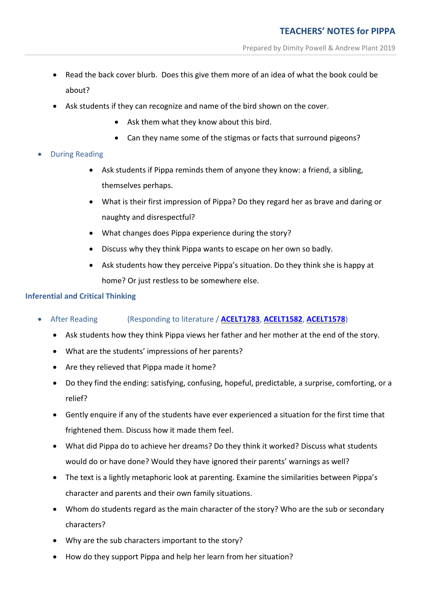- Read the back cover blurb. Does this give them more of an idea of what the book could be about?
- Ask students if they can recognize and name of the bird shown on the cover.
	- Ask them what they know about this bird.
	- Can they name some of the stigmas or facts that surround pigeons?
- During Reading
	- Ask students if Pippa reminds them of anyone they know: a friend, a sibling, themselves perhaps.
	- What is their first impression of Pippa? Do they regard her as brave and daring or naughty and disrespectful?
	- What changes does Pippa experience during the story?
	- Discuss why they think Pippa wants to escape on her own so badly.
	- Ask students how they perceive Pippa's situation. Do they think she is happy at home? Or just restless to be somewhere else.

# **Inferential and Critical Thinking**

- After Reading (Responding to literature / **[ACELT1783](http://www.scootle.edu.au/ec/search?accContentId=ACELT1783)**, **[ACELT1582](http://www.scootle.edu.au/ec/search?q=ACELT1582&field=title&field=text.all&field=topic)**, **[ACELT1578](http://www.scootle.edu.au/ec/search?q=ACELT1578&field=title&field=text.all&field=topic)**)
	- Ask students how they think Pippa views her father and her mother at the end of the story.
	- What are the students' impressions of her parents?
	- Are they relieved that Pippa made it home?
	- Do they find the ending: satisfying, confusing, hopeful, predictable, a surprise, comforting, or a relief?
	- Gently enquire if any of the students have ever experienced a situation for the first time that frightened them. Discuss how it made them feel.
	- What did Pippa do to achieve her dreams? Do they think it worked? Discuss what students would do or have done? Would they have ignored their parents' warnings as well?
	- The text is a lightly metaphoric look at parenting. Examine the similarities between Pippa's character and parents and their own family situations.
	- Whom do students regard as the main character of the story? Who are the sub or secondary characters?
	- Why are the sub characters important to the story?
	- How do they support Pippa and help her learn from her situation?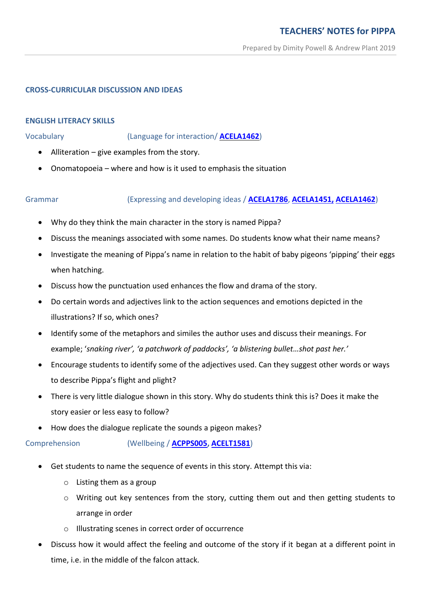## **CROSS-CURRICULAR DISCUSSION AND IDEAS**

#### **ENGLISH LITERACY SKILLS**

Vocabulary (Language for interaction/ **[ACELA1462](http://www.scootle.edu.au/ec/search?q=ACELA1462&field=title&field=text.all&field=topic)**)

- Alliteration give examples from the story.
- Onomatopoeia where and how is it used to emphasis the situation

## Grammar (Expressing and developing ideas / **[ACELA1786](http://www.scootle.edu.au/ec/search?q=ACELA1786&field=title&field=text.all&field=topic)**, **[ACELA1451,](http://www.scootle.edu.au/ec/search?q=ACELA1451&field=title&field=text.all&field=topic) [ACELA1462](http://www.scootle.edu.au/ec/search?q=ACELA1462&field=title&field=text.all&field=topic)**)

- Why do they think the main character in the story is named Pippa?
- Discuss the meanings associated with some names. Do students know what their name means?
- Investigate the meaning of Pippa's name in relation to the habit of baby pigeons 'pipping' their eggs when hatching.
- Discuss how the punctuation used enhances the flow and drama of the story.
- Do certain words and adjectives link to the action sequences and emotions depicted in the illustrations? If so, which ones?
- Identify some of the metaphors and similes the author uses and discuss their meanings. For example; '*snaking river', 'a patchwork of paddocks', 'a blistering bullet…shot past her.'*
- Encourage students to identify some of the adjectives used. Can they suggest other words or ways to describe Pippa's flight and plight?
- There is very little dialogue shown in this story. Why do students think this is? Does it make the story easier or less easy to follow?
- How does the dialogue replicate the sounds a pigeon makes?

Comprehension (Wellbeing / **[ACPPS005,](https://www.australiancurriculum.edu.au/Search/?q=ACPPS005) [ACELT1581](https://www.australiancurriculum.edu.au/Search/?q=ACELT1581)**)

- Get students to name the sequence of events in this story. Attempt this via:
	- o Listing them as a group
	- $\circ$  Writing out key sentences from the story, cutting them out and then getting students to arrange in order
	- o Illustrating scenes in correct order of occurrence
- Discuss how it would affect the feeling and outcome of the story if it began at a different point in time, i.e. in the middle of the falcon attack.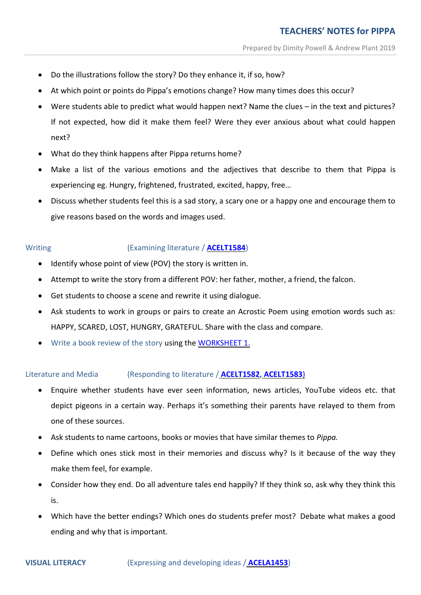- Do the illustrations follow the story? Do they enhance it, if so, how?
- At which point or points do Pippa's emotions change? How many times does this occur?
- Were students able to predict what would happen next? Name the clues in the text and pictures? If not expected, how did it make them feel? Were they ever anxious about what could happen next?
- What do they think happens after Pippa returns home?
- Make a list of the various emotions and the adjectives that describe to them that Pippa is experiencing eg. Hungry, frightened, frustrated, excited, happy, free…
- Discuss whether students feel this is a sad story, a scary one or a happy one and encourage them to give reasons based on the words and images used.

# Writing (Examining literature / **[ACELT1584](http://www.scootle.edu.au/ec/search?q=ACELT1584&field=title&field=text.all&field=topic)**)

- Identify whose point of view (POV) the story is written in.
- Attempt to write the story from a different POV: her father, mother, a friend, the falcon.
- Get students to choose a scene and rewrite it using dialogue.
- Ask students to work in groups or pairs to create an Acrostic Poem using emotion words such as: HAPPY, SCARED, LOST, HUNGRY, GRATEFUL. Share with the class and compare.
- Write a book review of the story using the [WORKSHEET 1](http://www.dimitypowell.com/wp-content/uploads/2019/01/PIPPA-Book-Review-Worksheet-1.pdf).

## Literature and Media (Responding to literature / **[ACELT1582,](http://www.scootle.edu.au/ec/search?q=ACELT1582&field=title&field=text.all&field=topic) [ACELT1583](http://www.scootle.edu.au/ec/search?q=+ACELT1583&field=title&field=text.all&field=topic)**)

- Enquire whether students have ever seen information, news articles, YouTube videos etc. that depict pigeons in a certain way. Perhaps it's something their parents have relayed to them from one of these sources.
- Ask students to name cartoons, books or movies that have similar themes to *Pippa.*
- Define which ones stick most in their memories and discuss why? Is it because of the way they make them feel, for example.
- Consider how they end. Do all adventure tales end happily? If they think so, ask why they think this is.
- Which have the better endings? Which ones do students prefer most? Debate what makes a good ending and why that is important.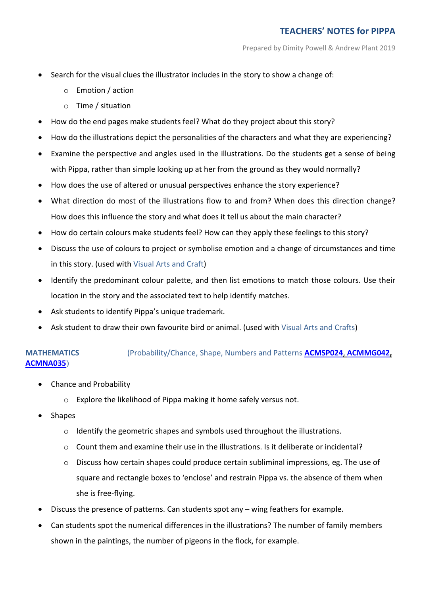- Search for the visual clues the illustrator includes in the story to show a change of:
	- o Emotion / action
	- o Time / situation
- How do the end pages make students feel? What do they project about this story?
- How do the illustrations depict the personalities of the characters and what they are experiencing?
- Examine the perspective and angles used in the illustrations. Do the students get a sense of being with Pippa, rather than simple looking up at her from the ground as they would normally?
- How does the use of altered or unusual perspectives enhance the story experience?
- What direction do most of the illustrations flow to and from? When does this direction change? How does this influence the story and what does it tell us about the main character?
- How do certain colours make students feel? How can they apply these feelings to this story?
- Discuss the use of colours to project or symbolise emotion and a change of circumstances and time in this story. (used with Visual Arts and Craft)
- Identify the predominant colour palette, and then list emotions to match those colours. Use their location in the story and the associated text to help identify matches.
- Ask students to identify Pippa's unique trademark.
- Ask student to draw their own favourite bird or animal. (used with Visual Arts and Crafts)

# **MATHEMATICS** (Probability/Chance, Shape, Numbers and Patterns **[ACMSP024](http://www.scootle.edu.au/ec/search?accContentId=ACMSP024&learningarea=%22Mathematics%22&userlevel=%281%29)**, **[ACMMG042,](http://www.scootle.edu.au/ec/search?accContentId=ACMMG042&learningarea=%22Mathematics%22&userlevel=%282%29) [ACMNA035](http://www.scootle.edu.au/ec/search?accContentId=ACMNA035&learningarea=%22Mathematics%22&userlevel=%282%29)**)

- Chance and Probability
	- o Explore the likelihood of Pippa making it home safely versus not.
- Shapes
	- $\circ$  Identify the geometric shapes and symbols used throughout the illustrations.
	- $\circ$  Count them and examine their use in the illustrations. Is it deliberate or incidental?
	- $\circ$  Discuss how certain shapes could produce certain subliminal impressions, eg. The use of square and rectangle boxes to 'enclose' and restrain Pippa vs. the absence of them when she is free-flying.
- Discuss the presence of patterns. Can students spot any wing feathers for example.
- Can students spot the numerical differences in the illustrations? The number of family members shown in the paintings, the number of pigeons in the flock, for example.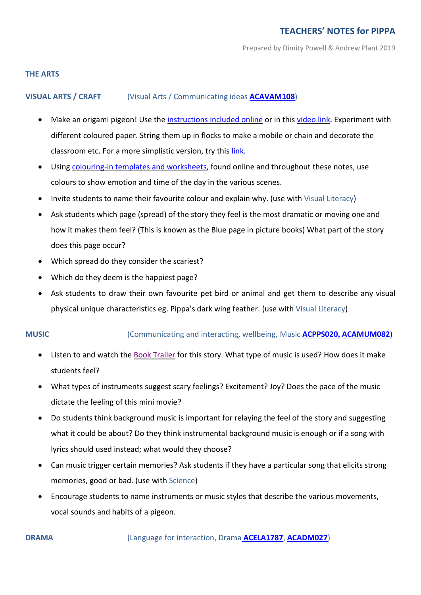# **THE ARTS**

# **VISUAL ARTS / CRAFT** (Visual Arts / Communicating ideas **[ACAVAM108](https://www.australiancurriculum.edu.au/f-10-curriculum/the-arts/visual-arts/?year=12755&capability=ignore&capability=Literacy&capability=Numeracy&capability=Information+and+Communication+Technology+%28ICT%29+Capability&capability=Critical+and+Creative+Thinking&capability=Personal+and+Social+Capability&capability=Ethical+Understanding&capability=Intercultural+Understanding&priority=ignore&priority=Aboriginal+and+Torres+Strait+Islander+Histories+and+Cultures&priority=Asia+and+Australia%E2%80%99s+Engagement+with+Asia&priority=Sustainability&elaborations=true&elaborations=false&scotterms=false&isFirstPageLoad=false#cdcode=ACAVAM108&level=F-2)**)

- Make an origami pigeon! Use the [instructions](http://www.dimitypowell.com/?page_id=1475&preview=true) included online or in this [video](https://www.youtube.com/watch?v=Yp6gu7cLUGI) link. Experiment with different coloured paper. String them up in flocks to make a mobile or chain and decorate the classroom etc. For a more simplistic version, try this [link.](https://www.youtube.com/watch?v=Ec7WZVKNto8&t=28s)
- Using [colouring-in](http://www.dimitypowell.com/pippa-downloadable-fun/) templates and worksheets, found online and throughout these notes, use colours to show emotion and time of the day in the various scenes.
- Invite students to name their favourite colour and explain why. (use with Visual Literacy)
- Ask students which page (spread) of the story they feel is the most dramatic or moving one and how it makes them feel? (This is known as the Blue page in picture books) What part of the story does this page occur?
- Which spread do they consider the scariest?
- Which do they deem is the happiest page?
- Ask students to draw their own favourite pet bird or animal and get them to describe any visual physical unique characteristics eg. Pippa's dark wing feather. (use with Visual Literacy)

# **MUSIC** (Communicating and interacting, wellbeing, Music **[ACPPS020](https://www.australiancurriculum.edu.au/f-10-curriculum/health-and-physical-education/?year=12994&strand=Personal%2C+Social+and+Community+Health&strand=Movement+and+Physical+Activity&capability=ignore&capability=Literacy&capability=Numeracy&capability=Information+and+Communication+Technology+%28ICT%29+Capability&capability=Critical+and+Creative+Thinking&capability=Personal+and+Social+Capability&capability=Ethical+Understanding&capability=Intercultural+Understanding&priority=ignore&priority=Aboriginal+and+Torres+Strait+Islander+Histories+and+Cultures&priority=Asia+and+Australia%E2%80%99s+Engagement+with+Asia&priority=Sustainability&elaborations=true&elaborations=false&scotterms=false&isFirstPageLoad=false#cdcode=ACPPS020&level=1-2), [ACAMUM082](http://www.scootle.edu.au/ec/search?accContentId=ACAMUM082)**)

- Listen to and watch the Book [Trailer](https://www.youtube.com/channel/UCFgJLJu4WVjGP7W_2HfJf6g) for this story. What type of music is used? How does it make students feel?
- What types of instruments suggest scary feelings? Excitement? Joy? Does the pace of the music dictate the feeling of this mini movie?
- Do students think background music is important for relaying the feel of the story and suggesting what it could be about? Do they think instrumental background music is enough or if a song with lyrics should used instead; what would they choose?
- Can music trigger certain memories? Ask students if they have a particular song that elicits strong memories, good or bad. (use with Science)
- Encourage students to name instruments or music styles that describe the various movements, vocal sounds and habits of a pigeon.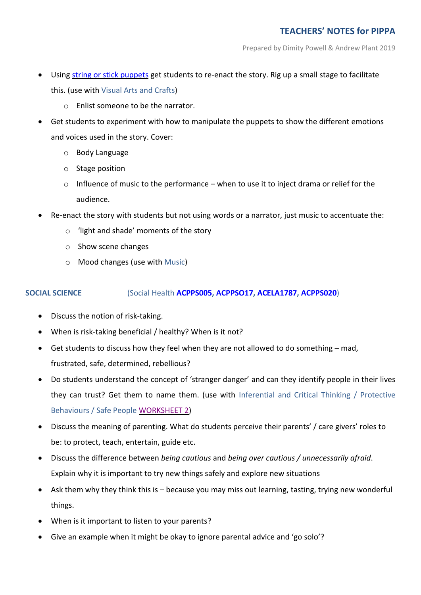- Using string or stick [puppets](https://www.youtube.com/watch?v=mHrGWArHTMM) get students to re-enact the story. Rig up a small stage to facilitate this. (use with Visual Arts and Crafts)
	- o Enlist someone to be the narrator.
- Get students to experiment with how to manipulate the puppets to show the different emotions and voices used in the story. Cover:
	- o Body Language
	- o Stage position
	- $\circ$  Influence of music to the performance when to use it to inject drama or relief for the audience.
- Re-enact the story with students but not using words or a narrator, just music to accentuate the:
	- o 'light and shade' moments of the story
	- o Show scene changes
	- o Mood changes (use with Music)

# **SOCIAL SCIENCE** (Social Health **[ACPPS005,](https://www.australiancurriculum.edu.au/Search/?q=ACPPS005) [ACPPSO17,](https://www.australiancurriculum.edu.au/Search/?q=ACPPS017) [ACELA1787,](https://www.australiancurriculum.edu.au/Search/?q=ACELA1787) [ACPPS020](https://www.australiancurriculum.edu.au/f-10-curriculum/health-and-physical-education/?year=12994&strand=Personal%2C+Social+and+Community+Health&strand=Movement+and+Physical+Activity&capability=ignore&capability=Literacy&capability=Numeracy&capability=Information+and+Communication+Technology+%28ICT%29+Capability&capability=Critical+and+Creative+Thinking&capability=Personal+and+Social+Capability&capability=Ethical+Understanding&capability=Intercultural+Understanding&priority=ignore&priority=Aboriginal+and+Torres+Strait+Islander+Histories+and+Cultures&priority=Asia+and+Australia%E2%80%99s+Engagement+with+Asia&priority=Sustainability&elaborations=true&elaborations=false&scotterms=false&isFirstPageLoad=false#cdcode=ACPPS020&level=1-2)**)

- Discuss the notion of risk-taking.
- When is risk-taking beneficial / healthy? When is it not?
- Get students to discuss how they feel when they are not allowed to do something mad, frustrated, safe, determined, rebellious?
- Do students understand the concept of 'stranger danger' and can they identify people in their lives they can trust? Get them to name them. (use with Inferential and Critical Thinking / Protective Behaviours / Safe People [WORKSHEET 2\)](http://www.dimitypowell.com/wp-content/uploads/2019/02/Safe-People-Worksheet-2.pdf)
- Discuss the meaning of parenting. What do students perceive their parents' / care givers' roles to be: to protect, teach, entertain, guide etc.
- Discuss the difference between *being cautious* and *being over cautious / unnecessarily afraid*. Explain why it is important to try new things safely and explore new situations
- Ask them why they think this is because you may miss out learning, tasting, trying new wonderful things.
- When is it important to listen to your parents?
- Give an example when it might be okay to ignore parental advice and 'go solo'?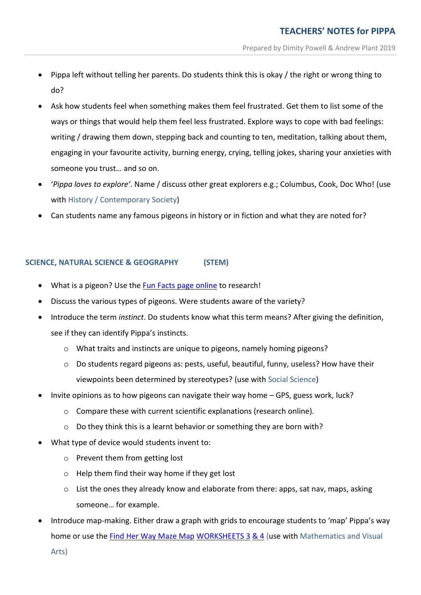- Pippa left without telling her parents. Do students think this is okay / the right or wrong thing to do?
- Ask how students feel when something makes them feel frustrated. Get them to list some of the ways or things that would help them feel less frustrated. Explore ways to cope with bad feelings: writing / drawing them down, stepping back and counting to ten, meditation, talking about them, engaging in your favourite activity, burning energy, crying, telling jokes, sharing your anxieties with someone you trust… and so on.
- '*Pippa loves to explore'*. Name / discuss other great explorers e.g.; Columbus, Cook, Doc Who! (use with History / Contemporary Society)
- Can students name any famous pigeons in history or in fiction and what they are noted for?

## **SCIENCE, NATURAL SCIENCE & GEOGRAPHY (STEM)**

- What is a pigeon? Use the Fun Facts page [online](http://www.dimitypowell.com/wp-content/uploads/2018/12/PIGEON-FUN-FACTS-for-WebsiteDecember-2018.pdf) to research!
- Discuss the various types of pigeons. Were students aware of the variety?
- Introduce the term *instinct*. Do students know what this term means? After giving the definition, see if they can identify Pippa's instincts.
	- $\circ$  What traits and instincts are unique to pigeons, namely homing pigeons?
	- $\circ$  Do students regard pigeons as: pests, useful, beautiful, funny, useless? How have their viewpoints been determined by stereotypes? (use with Social Science)
- Invite opinions as to how pigeons can navigate their way home GPS, guess work, luck?
	- o Compare these with current scientific explanations (research online).
	- o Do they think this is a learnt behavior or something they are born with?
- What type of device would students invent to:
	- o Prevent them from getting lost
	- o Help them find their way home if they get lost
	- o List the ones they already know and elaborate from there: apps, sat nav, maps, asking someone… for example.
- Introduce map-making. Either draw a graph with grids to encourage students to 'map' Pippa's way home or use the Find Her Way [Maze](http://www.dimitypowell.com/pippa-downloadable-fun/) Map [WORKSHEETS](http://www.dimitypowell.com/wp-content/uploads/2019/01/MAZE-Map-template.pdf) 3 [&](http://www.dimitypowell.com/wp-content/uploads/2019/01/MAZE-Map-template-No.-2-Triangle.pdf) 4 (use with Mathematics and Visual

Arts)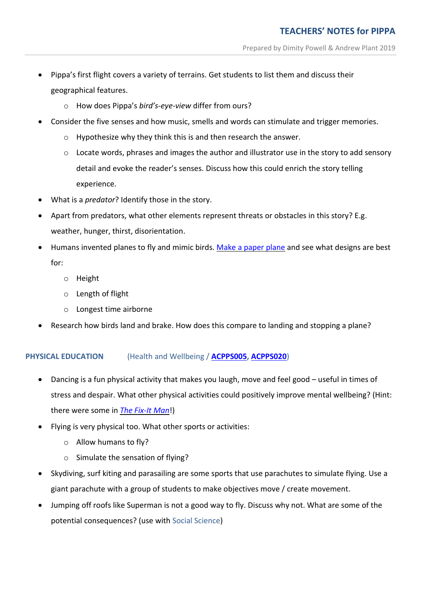- Pippa's first flight covers a variety of terrains. Get students to list them and discuss their geographical features.
	- o How does Pippa's *bird's-eye-view* differ from ours?
- Consider the five senses and how music, smells and words can stimulate and trigger memories.
	- o Hypothesize why they think this is and then research the answer.
	- $\circ$  Locate words, phrases and images the author and illustrator use in the story to add sensory detail and evoke the reader's senses. Discuss how this could enrich the story telling experience.
- What is a *predator*? Identify those in the story.
- Apart from predators, what other elements represent threats or obstacles in this story? E.g. weather, hunger, thirst, disorientation.
- Humans invented planes to fly and mimic birds. Make a [paper](https://www.youtube.com/watch?v=veyZNyurlwU) plane and see what designs are best for:
	- o Height
	- o Length of flight
	- o Longest time airborne
- Research how birds land and brake. How does this compare to landing and stopping a plane?

# **PHYSICAL EDUCATION** (Health and Wellbeing / **[ACPPS005,](https://www.australiancurriculum.edu.au/Search/?q=ACPPS005) [ACPPS020](https://www.australiancurriculum.edu.au/f-10-curriculum/health-and-physical-education/?year=12994&strand=Personal%2C+Social+and+Community+Health&strand=Movement+and+Physical+Activity&capability=ignore&capability=Literacy&capability=Numeracy&capability=Information+and+Communication+Technology+%28ICT%29+Capability&capability=Critical+and+Creative+Thinking&capability=Personal+and+Social+Capability&capability=Ethical+Understanding&capability=Intercultural+Understanding&priority=ignore&priority=Aboriginal+and+Torres+Strait+Islander+Histories+and+Cultures&priority=Asia+and+Australia%E2%80%99s+Engagement+with+Asia&priority=Sustainability&elaborations=true&elaborations=false&scotterms=false&isFirstPageLoad=false#cdcode=ACPPS020&level=1-2)**)

- Dancing is a fun physical activity that makes you laugh, move and feel good useful in times of stress and despair. What other physical activities could positively improve mental wellbeing? (Hint: there were some in *The [Fix-It](http://www.dimitypowell.com/the-fix-it-man-downloadable-fun/) Man*!)
- Flying is very physical too. What other sports or activities:
	- o Allow humans to fly?
	- o Simulate the sensation of flying?
- Skydiving, surf kiting and parasailing are some sports that use parachutes to simulate flying. Use a giant parachute with a group of students to make objectives move / create movement.
- Jumping off roofs like Superman is not a good way to fly. Discuss why not. What are some of the potential consequences? (use with Social Science)